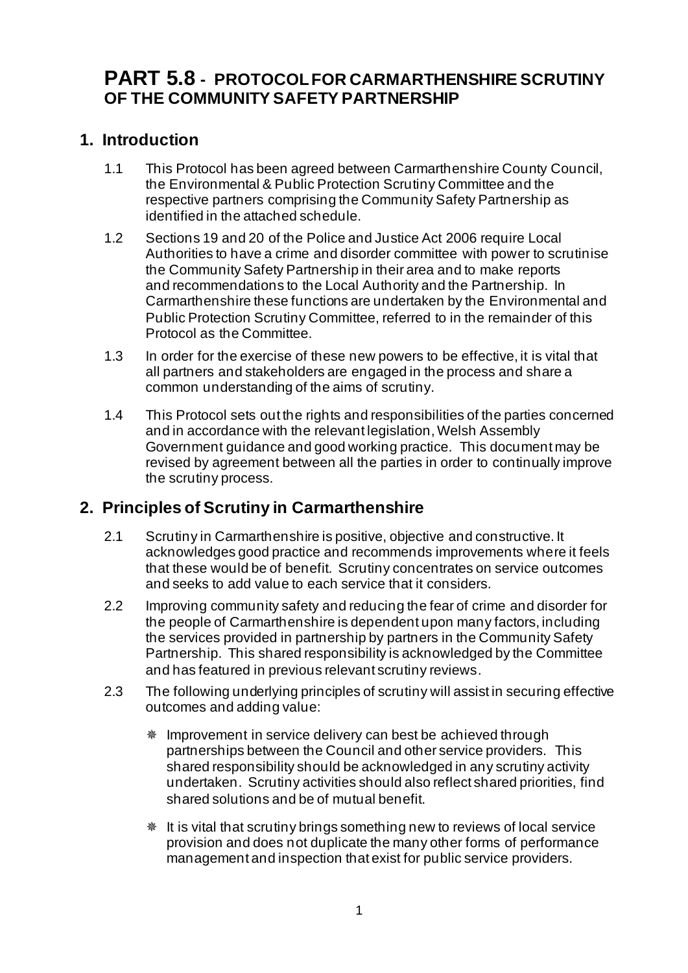# **PART 5.8 - PROTOCOL FOR CARMARTHENSHIRE SCRUTINY OF THE COMMUNITY SAFETY PARTNERSHIP**

## **1. Introduction**

- 1.1 This Protocol has been agreed between Carmarthenshire County Council, the Environmental & Public Protection Scrutiny Committee and the respective partners comprising the Community Safety Partnership as identified in the attached schedule.
- 1.2 Sections 19 and 20 of the Police and Justice Act 2006 require Local Authorities to have a crime and disorder committee with power to scrutinise the Community Safety Partnership in their area and to make reports and recommendations to the Local Authority and the Partnership. In Carmarthenshire these functions are undertaken by the Environmental and Public Protection Scrutiny Committee, referred to in the remainder of this Protocol as the Committee.
- 1.3 In order for the exercise of these new powers to be effective, it is vital that all partners and stakeholders are engaged in the process and share a common understanding of the aims of scrutiny.
- 1.4 This Protocol sets out the rights and responsibilities of the parties concerned and in accordance with the relevant legislation, Welsh Assembly Government guidance and good working practice. This document may be revised by agreement between all the parties in order to continually improve the scrutiny process.

## **2. Principles of Scrutiny in Carmarthenshire**

- 2.1 Scrutiny in Carmarthenshire is positive, objective and constructive. It acknowledges good practice and recommends improvements where it feels that these would be of benefit. Scrutiny concentrates on service outcomes and seeks to add value to each service that it considers.
- 2.2 Improving community safety and reducing the fear of crime and disorder for the people of Carmarthenshire is dependent upon many factors, including the services provided in partnership by partners in the Community Safety Partnership. This shared responsibility is acknowledged by the Committee and has featured in previous relevant scrutiny reviews.
- 2.3 The following underlying principles of scrutiny will assist in securing effective outcomes and adding value:
	- Improvement in service delivery can best be achieved through partnerships between the Council and other service providers. This shared responsibility should be acknowledged in any scrutiny activity undertaken. Scrutiny activities should also reflect shared priorities, find shared solutions and be of mutual benefit.
	- **If is vital that scrutiny brings something new to reviews of local service** provision and does not duplicate the many other forms of performance management and inspection that exist for public service providers.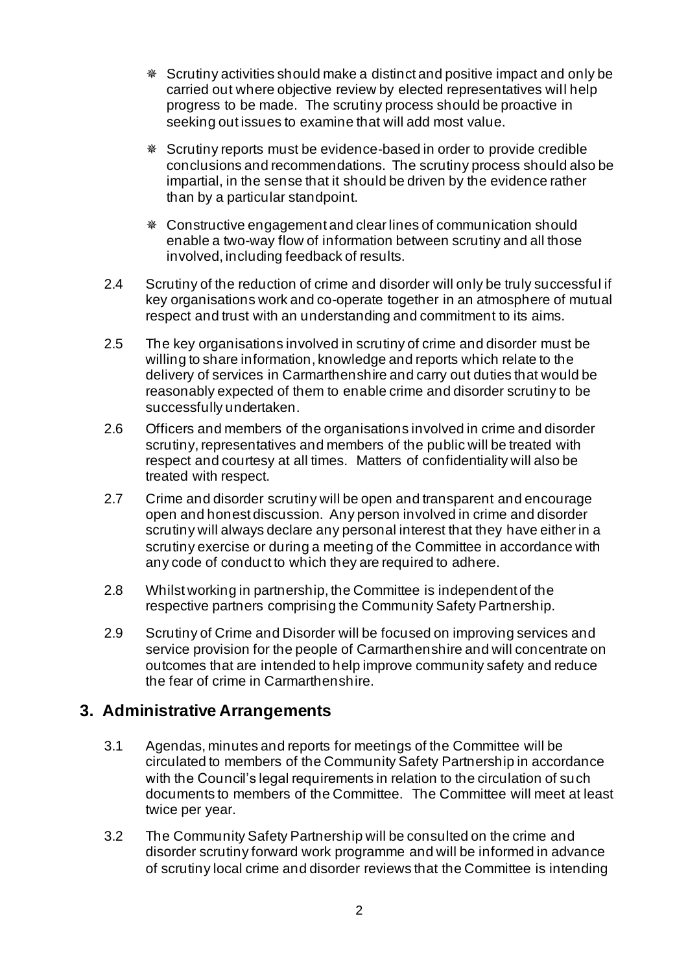- Scrutiny activities should make a distinct and positive impact and only be carried out where objective review by elected representatives will help progress to be made. The scrutiny process should be proactive in seeking out issues to examine that will add most value.
- Scrutiny reports must be evidence-based in order to provide credible conclusions and recommendations. The scrutiny process should also be impartial, in the sense that it should be driven by the evidence rather than by a particular standpoint.
- Constructive engagement and clear lines of communication should enable a two-way flow of information between scrutiny and all those involved, including feedback of results.
- 2.4 Scrutiny of the reduction of crime and disorder will only be truly successful if key organisations work and co-operate together in an atmosphere of mutual respect and trust with an understanding and commitment to its aims.
- 2.5 The key organisations involved in scrutiny of crime and disorder must be willing to share information, knowledge and reports which relate to the delivery of services in Carmarthenshire and carry out duties that would be reasonably expected of them to enable crime and disorder scrutiny to be successfully undertaken.
- 2.6 Officers and members of the organisations involved in crime and disorder scrutiny, representatives and members of the public will be treated with respect and courtesy at all times. Matters of confidentiality will also be treated with respect.
- 2.7 Crime and disorder scrutiny will be open and transparent and encourage open and honest discussion. Any person involved in crime and disorder scrutiny will always declare any personal interest that they have either in a scrutiny exercise or during a meeting of the Committee in accordance with any code of conduct to which they are required to adhere.
- 2.8 Whilst working in partnership, the Committee is independent of the respective partners comprising the Community Safety Partnership.
- 2.9 Scrutiny of Crime and Disorder will be focused on improving services and service provision for the people of Carmarthenshire and will concentrate on outcomes that are intended to help improve community safety and reduce the fear of crime in Carmarthenshire.

## **3. Administrative Arrangements**

- 3.1 Agendas, minutes and reports for meetings of the Committee will be circulated to members of the Community Safety Partnership in accordance with the Council's legal requirements in relation to the circulation of such documents to members of the Committee. The Committee will meet at least twice per year.
- 3.2 The Community Safety Partnership will be consulted on the crime and disorder scrutiny forward work programme and will be informed in advance of scrutiny local crime and disorder reviews that the Committee is intending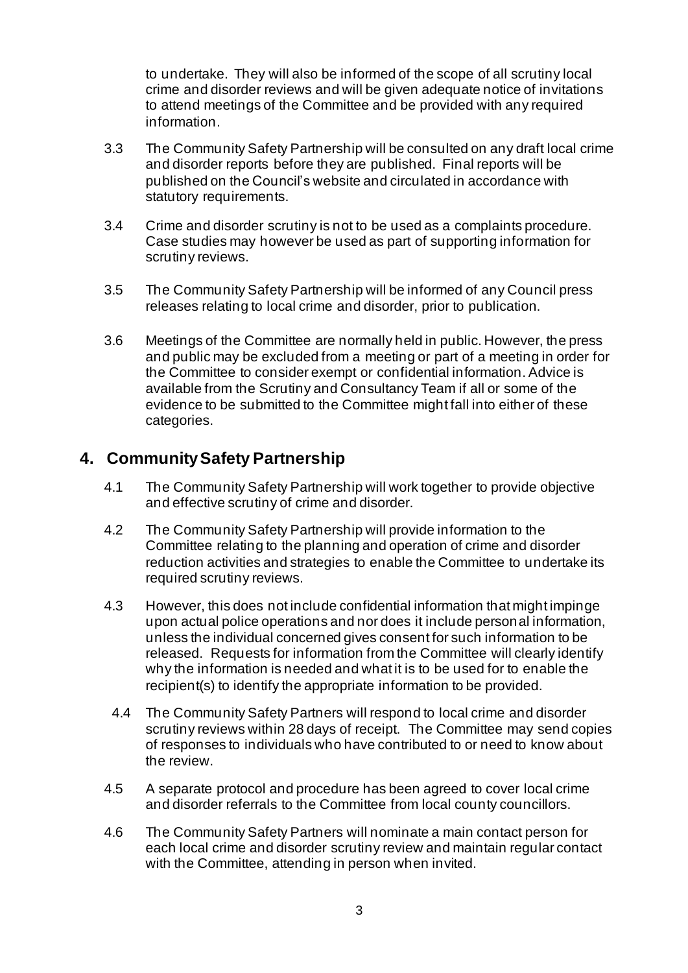to undertake. They will also be informed of the scope of all scrutiny local crime and disorder reviews and will be given adequate notice of invitations to attend meetings of the Committee and be provided with any required information.

- 3.3 The Community Safety Partnership will be consulted on any draft local crime and disorder reports before they are published. Final reports will be published on the Council's website and circulated in accordance with statutory requirements.
- 3.4 Crime and disorder scrutiny is not to be used as a complaints procedure. Case studies may however be used as part of supporting information for scrutiny reviews.
- 3.5 The Community Safety Partnership will be informed of any Council press releases relating to local crime and disorder, prior to publication.
- 3.6 Meetings of the Committee are normally held in public. However, the press and public may be excluded from a meeting or part of a meeting in order for the Committee to consider exempt or confidential information. Advice is available from the Scrutiny and Consultancy Team if all or some of the evidence to be submitted to the Committee might fall into either of these categories.

### **4. Community Safety Partnership**

- 4.1 The Community Safety Partnership will work together to provide objective and effective scrutiny of crime and disorder.
- 4.2 The Community Safety Partnership will provide information to the Committee relating to the planning and operation of crime and disorder reduction activities and strategies to enable the Committee to undertake its required scrutiny reviews.
- 4.3 However, this does not include confidential information that might impinge upon actual police operations and nor does it include personal information, unless the individual concerned gives consent for such information to be released. Requests for information from the Committee will clearly identify why the information is needed and what it is to be used for to enable the recipient(s) to identify the appropriate information to be provided.
- 4.4 The Community Safety Partners will respond to local crime and disorder scrutiny reviews within 28 days of receipt. The Committee may send copies of responses to individuals who have contributed to or need to know about the review.
- 4.5 A separate protocol and procedure has been agreed to cover local crime and disorder referrals to the Committee from local county councillors.
- 4.6 The Community Safety Partners will nominate a main contact person for each local crime and disorder scrutiny review and maintain regular contact with the Committee, attending in person when invited.